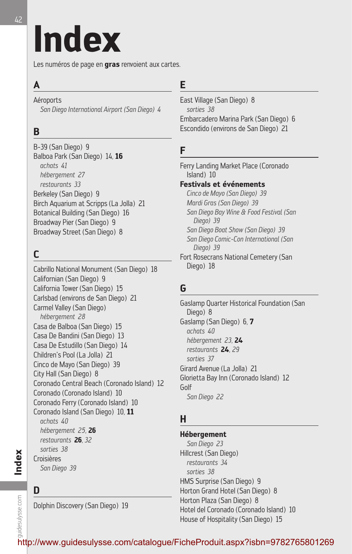# **Index**

Les numéros de page en **gras** renvoient aux cartes.

# **A**

**Aéroports** 

*San Diego International Airport (San Diego) 4*

# **B**

B-39 (San Diego) 9 Balboa Park (San Diego) 14*,* **16** *achats 41 hébergement 27 restaurants 33* Berkeley (San Diego) 9 Birch Aquarium at Scripps (La Jolla) 21 Botanical Building (San Diego) 16 Broadway Pier (San Diego) 9 Broadway Street (San Diego) 8

# **C**

Cabrillo National Monument (San Diego) 18 Californian (San Diego) 9 California Tower (San Diego) 15 Carlsbad (environs de San Diego) 21 Carmel Valley (San Diego) *hébergement 28* Casa de Balboa (San Diego) 15 Casa De Bandini (San Diego) 13 Casa De Estudillo (San Diego) 14 Children's Pool (La Jolla) 21 Cinco de Mayo (San Diego) 39 City Hall (San Diego) 8 Coronado Central Beach (Coronado Island) 12 Coronado (Coronado Island) 10 Coronado Ferry (Coronado Island) 10 Coronado Island (San Diego) 10*,* **11** *achats 40 hébergement 25,* **26** *restaurants* **26***, 32 sorties 38* Croisières *San Diego 39*

# **D**

**Index**

guidesulysse.com

quidesulysse.com

Dolphin Discovery (San Diego) 19

# **E**

East Village (San Diego) 8 *sorties 38* Embarcadero Marina Park (San Diego) 6 Escondido (environs de San Diego) 21

# **F**

Ferry Landing Market Place (Coronado Island) 10 **Festivals et événements** *Cinco de Mayo (San Diego) 39 Mardi Gras (San Diego) 39 San Diego Bay Wine & Food Festival (San Diego) 39 San Diego Boat Show (San Diego) 39 San Diego Comic-Con International (San Diego) 39* Fort Rosecrans National Cemetery (San Diego) 18

# **G**

Gaslamp Quarter Historical Foundation (San Diego) 8 Gaslamp (San Diego) 6*,* **7** *achats 40 hébergement 23,* **24** *restaurants* **24***, 29 sorties 37* Girard Avenue (La Jolla) 21 Glorietta Bay Inn (Coronado Island) 12 Golf *San Diego 22*

# **H**

**Hébergement** *San Diego 23* Hillcrest (San Diego) *restaurants 34 sorties 38* HMS Surprise (San Diego) 9 Horton Grand Hotel (San Diego) 8 Horton Plaza (San Diego) 8 Hotel del Coronado (Coronado Island) 10 House of Hospitality (San Diego) 15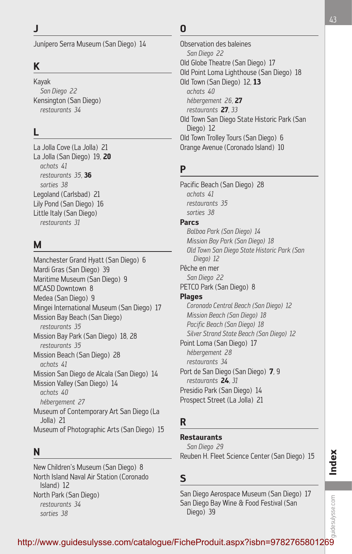Junípero Serra Museum (San Diego) 14

# **K**

Kayak *San Diego 22* Kensington (San Diego) *restaurants 34*

#### **L**

La Jolla Cove (La Jolla) 21 La Jolla (San Diego) 19*,* **20** *achats 41 restaurants 35,* **36** *sorties 38* Legoland (Carlsbad) 21 Lily Pond (San Diego) 16 Little Italy (San Diego) *restaurants 31*

#### **M**

Manchester Grand Hyatt (San Diego) 6 Mardi Gras (San Diego) 39 Maritime Museum (San Diego) 9 MCASD Downtown 8 Medea (San Diego) 9 Mingei International Museum (San Diego) 17 Mission Bay Beach (San Diego) *restaurants 35* Mission Bay Park (San Diego) 18*,* 28 *restaurants 35* Mission Beach (San Diego) 28 *achats 41* Mission San Diego de Alcala (San Diego) 14 Mission Valley (San Diego) 14 *achats 40 hébergement 27* Museum of Contemporary Art San Diego (La Jolla) 21 Museum of Photographic Arts (San Diego) 15

#### **N**

New Children's Museum (San Diego) 8 North Island Naval Air Station (Coronado Island) 12 North Park (San Diego) *restaurants 34 sorties 38*

#### **O**

Observation des baleines *San Diego 22* Old Globe Theatre (San Diego) 17 Old Point Loma Lighthouse (San Diego) 18 Old Town (San Diego) 12*,* **13** *achats 40 hébergement 26,* **27** *restaurants* **27***, 33* Old Town San Diego State Historic Park (San Diego) 12 Old Town Trolley Tours (San Diego) 6 Orange Avenue (Coronado Island) 10

# **P**

Pacific Beach (San Diego) 28 *achats 41 restaurants 35 sorties 38* **Parcs** *Balboa Park (San Diego) 14 Mission Bay Park (San Diego) 18 Old Town San Diego State Historic Park (San Diego) 12* Pêche en mer *San Diego 22* PETCO Park (San Diego) 8 **Plages** *Coronado Central Beach (San Diego) 12 Mission Beach (San Diego) 18 Pacific Beach (San Diego) 18 Silver Strand State Beach (San Diego) 12* Point Loma (San Diego) 17 *hébergement 28 restaurants 34* Port de San Diego (San Diego) **7***,* 9 *restaurants* **24***, 31* Presidio Park (San Diego) 14 Prospect Street (La Jolla) 21

# **R**

**Restaurants** *San Diego 29* Reuben H. Fleet Science Center (San Diego) 15

#### **S**

San Diego Aerospace Museum (San Diego) 17 San Diego Bay Wine & Food Festival (San Diego) 39

# quidesulysse.com guidesulysse.com http://www.guidesulysse.com/catalogue/FicheProduit.aspx?isbn=9782765801269